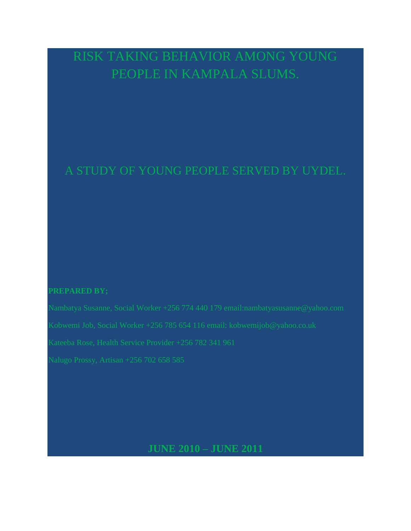# RISK TAKING BEHAVIOR AMONG YOUNG PEOPLE IN KAMPALA SLUMS.

# A STUDY OF YOUNG PEOPLE SERVED BY UYDEL.

# **PREPARED BY;**

**JUNE 2010 – JUNE 2011**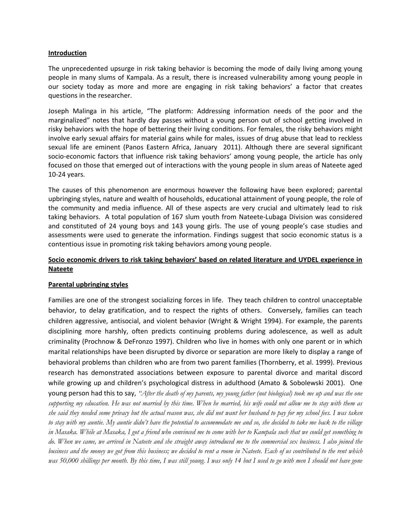# **Introduction**

The unprecedented upsurge in risk taking behavior is becoming the mode of daily living among young people in many slums of Kampala. As a result, there is increased vulnerability among young people in our society today as more and more are engaging in risk taking behaviors' a factor that creates questions in the researcher.

Joseph Malinga in his article, "The platform: Addressing information needs of the poor and the marginalized" notes that hardly day passes without a young person out of school getting involved in risky behaviors with the hope of bettering their living conditions. For females, the risky behaviors might involve early sexual affairs for material gains while for males, issues of drug abuse that lead to reckless sexual life are eminent (Panos Eastern Africa, January 2011). Although there are several significant socio-economic factors that influence risk taking behaviors' among young people, the article has only focused on those that emerged out of interactions with the young people in slum areas of Nateete aged 10-24 years.

The causes of this phenomenon are enormous however the following have been explored; parental upbringing styles, nature and wealth of households, educational attainment of young people, the role of the community and media influence. All of these aspects are very crucial and ultimately lead to risk taking behaviors. A total population of 167 slum youth from Nateete-Lubaga Division was considered and constituted of 24 young boys and 143 young girls. The use of young people's case studies and assessments were used to generate the information. Findings suggest that socio economic status is a contentious issue in promoting risk taking behaviors among young people.

# **Socio economic drivers to risk taking behaviors' based on related literature and UYDEL experience in Nateete**

# **Parental upbringing styles**

Families are one of the strongest socializing forces in life. They teach children to control unacceptable behavior, to delay gratification, and to respect the rights of others. Conversely, families can teach children aggressive, antisocial, and violent behavior (Wright & Wright 1994). For example, the parents disciplining more harshly, often predicts continuing problems during adolescence, as well as adult criminality (Prochnow & DeFronzo 1997). Children who live in homes with only one parent or in which marital relationships have been disrupted by divorce or separation are more likely to display a range of behavioral problems than children who are from two parent families (Thornberry, et al. 1999). Previous research has demonstrated associations between exposure to parental divorce and marital discord while growing up and children's psychological distress in adulthood (Amato & Sobolewski 2001). One young person had this to say, *"After the death of my parents, my young father (not biological) took me up and was the one supporting my education. He was not married by this time. When he married, his wife could not allow me to stay with them as she said they needed some privacy but the actual reason was, she did not want her husband to pay for my school fees. I was taken to stay with my auntie. My auntie didn't have the potential to accommodate me and so, she decided to take me back to the village in Masaka. While at Masaka, I got a friend who convinced me to come with her to Kampala such that we could get something to do. When we came, we arrived in Nateete and she straight away introduced me to the commercial sex business. I also joined the business and the money we got from this business; we decided to rent a room in Nateete. Each of us contributed to the rent which was 50,000 shillings per month. By this time, I was still young. I was only 14 but I used to go with men I should not have gone*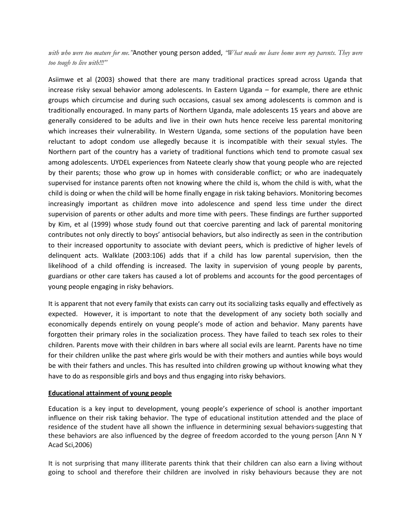*with who were too mature for me."*Another young person added, *"What made me leave home were my parents. They were too tough to live with!!!"*

Asiimwe et al (2003) showed that there are many traditional practices spread across Uganda that increase risky sexual behavior among adolescents. In Eastern Uganda – for example, there are ethnic groups which circumcise and during such occasions, casual sex among adolescents is common and is traditionally encouraged. In many parts of Northern Uganda, male adolescents 15 years and above are generally considered to be adults and live in their own huts hence receive less parental monitoring which increases their vulnerability. In Western Uganda, some sections of the population have been reluctant to adopt condom use allegedly because it is incompatible with their sexual styles. The Northern part of the country has a variety of traditional functions which tend to promote casual sex among adolescents. UYDEL experiences from Nateete clearly show that young people who are rejected by their parents; those who grow up in homes with considerable conflict; or who are inadequately supervised for instance parents often not knowing where the child is, whom the child is with, what the child is doing or when the child will be home finally engage in risk taking behaviors. Monitoring becomes increasingly important as children move into adolescence and spend less time under the direct supervision of parents or other adults and more time with peers. These findings are further supported by Kim, et al (1999) whose study found out that coercive parenting and lack of parental monitoring contributes not only directly to boys' antisocial behaviors, but also indirectly as seen in the contribution to their increased opportunity to associate with deviant peers, which is predictive of higher levels of delinquent acts. Walklate (2003:106) adds that if a child has low parental supervision, then the likelihood of a child offending is increased. The laxity in supervision of young people by parents, guardians or other care takers has caused a lot of problems and accounts for the good percentages of young people engaging in risky behaviors.

It is apparent that not every family that exists can carry out its socializing tasks equally and effectively as expected. However, it is important to note that the development of any society both socially and economically depends entirely on young people's mode of action and behavior. Many parents have forgotten their primary roles in the socialization process. They have failed to teach sex roles to their children. Parents move with their children in bars where all social evils are learnt. Parents have no time for their children unlike the past where girls would be with their mothers and aunties while boys would be with their fathers and uncles. This has resulted into children growing up without knowing what they have to do as responsible girls and boys and thus engaging into risky behaviors.

#### **Educational attainment of young people**

Education is a key input to development, young people's experience of school is another important influence on their risk taking behavior. The type of educational institution attended and the place of residence of the student have all shown the influence in determining sexual behaviors suggesting that these behaviors are also influenced by the degree of freedom accorded to the young person [Ann N Y Acad Sci,2006)

It is not surprising that many illiterate parents think that their children can also earn a living without going to school and therefore their children are involved in risky behaviours because they are not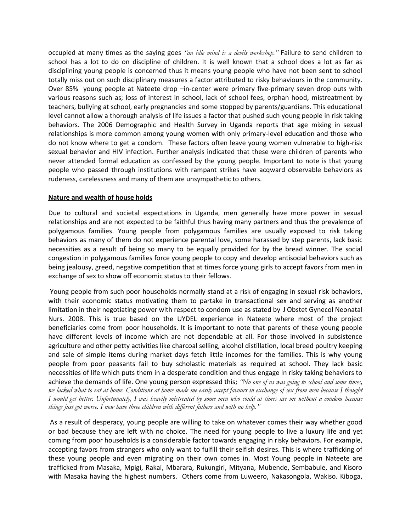occupied at many times as the saying goes *"an idle mind is a devils workshop."* Failure to send children to school has a lot to do on discipline of children. It is well known that a school does a lot as far as disciplining young people is concerned thus it means young people who have not been sent to school totally miss out on such disciplinary measures a factor attributed to risky behaviours in the community. Over 85% young people at Nateete drop –in-center were primary five-primary seven drop outs with various reasons such as; loss of interest in school, lack of school fees, orphan hood, mistreatment by teachers, bullying at school, early pregnancies and some stopped by parents/guardians. This educational level cannot allow a thorough analysis of life issues a factor that pushed such young people in risk taking behaviors. The 2006 Demographic and Health Survey in Uganda reports that age mixing in sexual relationships is more common among young women with only primary-level education and those who do not know where to get a condom. These factors often leave young women vulnerable to high-risk sexual behavior and HIV infection. Further analysis indicated that these were children of parents who never attended formal education as confessed by the young people. Important to note is that young people who passed through institutions with rampant strikes have acqward observable behaviors as rudeness, carelessness and many of them are unsympathetic to others.

# **Nature and wealth of house holds**

Due to cultural and societal expectations in Uganda, men generally have more power in sexual relationships and are not expected to be faithful thus having many partners and thus the prevalence of polygamous families. Young people from polygamous families are usually exposed to risk taking behaviors as many of them do not experience parental love, some harassed by step parents, lack basic necessities as a result of being so many to be equally provided for by the bread winner. The social congestion in polygamous families force young people to copy and develop antisocial behaviors such as being jealousy, greed, negative competition that at times force young girls to accept favors from men in exchange of sex to show off economic status to their fellows.

Young people from such poor households normally stand at a risk of engaging in sexual risk behaviors, with their economic status motivating them to partake in transactional sex and serving as another limitation in their negotiating power with respect to condom use as stated by J Obstet Gynecol Neonatal Nurs. 2008. This is true based on the UYDEL experience in Nateete where most of the project beneficiaries come from poor households. It is important to note that parents of these young people have different levels of income which are not dependable at all. For those involved in subsistence agriculture and other petty activities like charcoal selling, alcohol distillation, local breed poultry keeping and sale of simple items during market days fetch little incomes for the families. This is why young people from poor peasants fail to buy scholastic materials as required at school. They lack basic necessities of life which puts them in a desperate condition and thus engage in risky taking behaviors to achieve the demands of life. One young person expressed this; *"No one of us was going to school and some times, we lacked what to eat at home. Conditions at home made me easily accept favours in exchange of sex from men because I thought I would get better. Unfortunately, I was heavily mistreated by some men who could at times use me without a condom because things just got worse. I now have three children with different fathers and with no help."*

As a result of desperacy, young people are willing to take on whatever comes their way whether good or bad because they are left with no choice. The need for young people to live a luxury life and yet coming from poor households is a considerable factor towards engaging in risky behaviors. For example, accepting favors from strangers who only want to fulfill their selfish desires. This is where trafficking of these young people and even migrating on their own comes in. Most Young people in Nateete are trafficked from Masaka, Mpigi, Rakai, Mbarara, Rukungiri, Mityana, Mubende, Sembabule, and Kisoro with Masaka having the highest numbers. Others come from Luweero, Nakasongola, Wakiso. Kiboga,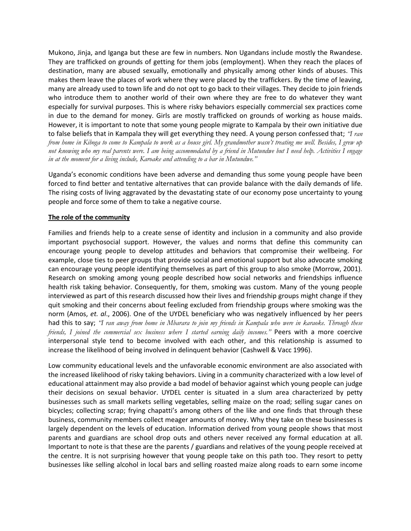Mukono, Jinja, and Iganga but these are few in numbers. Non Ugandans include mostly the Rwandese. They are trafficked on grounds of getting for them jobs (employment). When they reach the places of destination, many are abused sexually, emotionally and physically among other kinds of abuses. This makes them leave the places of work where they were placed by the traffickers. By the time of leaving, many are already used to town life and do not opt to go back to their villages. They decide to join friends who introduce them to another world of their own where they are free to do whatever they want especially for survival purposes. This is where risky behaviors especially commercial sex practices come in due to the demand for money. Girls are mostly trafficked on grounds of working as house maids. However, it is important to note that some young people migrate to Kampala by their own initiative due to false beliefs that in Kampala they will get everything they need. A young person confessed that; *"I ran from home in Kiboga to come to Kampala to work as a house girl. My grandmother wasn't treating me well. Besides, I grew up not knowing who my real parents were. I am being accommodated by a friend in Mutundwe but I need help. Activities I engage in at the moment for a living include, Karoake and attending to a bar in Mutundwe."*

Uganda's economic conditions have been adverse and demanding thus some young people have been forced to find better and tentative alternatives that can provide balance with the daily demands of life. The rising costs of living aggravated by the devastating state of our economy pose uncertainty to young people and force some of them to take a negative course.

# **The role of the community**

Families and friends help to a create sense of identity and inclusion in a community and also provide important psychosocial support. However, the values and norms that define this community can encourage young people to develop attitudes and behaviors that compromise their wellbeing. For example, close ties to peer groups that provide social and emotional support but also advocate smoking can encourage young people identifying themselves as part of this group to also smoke (Morrow, 2001). Research on smoking among young people described how social networks and friendships influence health risk taking behavior. Consequently, for them, smoking was custom. Many of the young people interviewed as part of this research discussed how their lives and friendship groups might change if they quit smoking and their concerns about feeling excluded from friendship groups where smoking was the norm (Amos, *et. al*., 2006). One of the UYDEL beneficiary who was negatively influenced by her peers had this to say; *"I ran away from home in Mbarara to join my friends in Kampala who were in karaoke. Through these friends, I joined the commercial sex business where I started earning daily incomes."* Peers with a more coercive interpersonal style tend to become involved with each other, and this relationship is assumed to increase the likelihood of being involved in delinquent behavior (Cashwell & Vacc 1996).

Low community educational levels and the unfavorable economic environment are also associated with the increased likelihood of risky taking behaviors. Living in a community characterized with a low level of educational attainment may also provide a bad model of behavior against which young people can judge their decisions on sexual behavior. UYDEL center is situated in a slum area characterized by petty businesses such as small markets selling vegetables, selling maize on the road; selling sugar canes on bicycles; collecting scrap; frying chapatti's among others of the like and one finds that through these business, community members collect meager amounts of money. Why they take on these businesses is largely dependent on the levels of education. Information derived from young people shows that most parents and guardians are school drop outs and others never received any formal education at all. Important to note is that these are the parents / guardians and relatives of the young people received at the centre. It is not surprising however that young people take on this path too. They resort to petty businesses like selling alcohol in local bars and selling roasted maize along roads to earn some income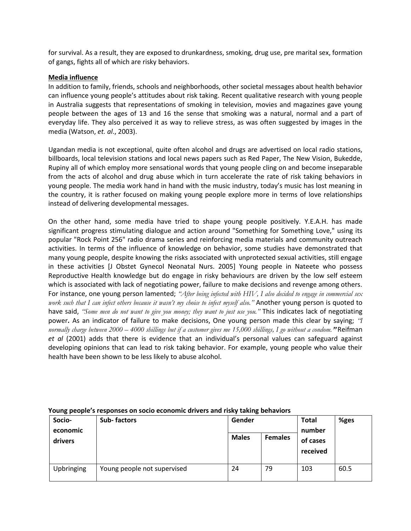for survival. As a result, they are exposed to drunkardness, smoking, drug use, pre marital sex, formation of gangs, fights all of which are risky behaviors.

# **Media influence**

In addition to family, friends, schools and neighborhoods, other societal messages about health behavior can influence young people's attitudes about risk taking. Recent qualitative research with young people in Australia suggests that representations of smoking in television, movies and magazines gave young people between the ages of 13 and 16 the sense that smoking was a natural, normal and a part of everyday life. They also perceived it as way to relieve stress, as was often suggested by images in the media (Watson, *et. al*., 2003).

Ugandan media is not exceptional, quite often alcohol and drugs are advertised on local radio stations, billboards, local television stations and local news papers such as Red Paper, The New Vision, Bukedde, Rupiny all of which employ more sensational words that young people cling on and become inseparable from the acts of alcohol and drug abuse which in turn accelerate the rate of risk taking behaviors in young people. The media work hand in hand with the music industry, today's music has lost meaning in the country, it is rather focused on making young people explore more in terms of love relationships instead of delivering developmental messages.

On the other hand, some media have tried to shape young people positively. Y.E.A.H. has made significant progress stimulating dialogue and action around "Something for Something Love," using its popular "Rock Point 256" radio drama series and reinforcing media materials and community outreach activities. In terms of the influence of knowledge on behavior, some studies have demonstrated that many young people, despite knowing the risks associated with unprotected sexual activities, still engage in these activities [J Obstet Gynecol Neonatal Nurs. 2005] Young people in Nateete who possess Reproductive Health knowledge but do engage in risky behaviours are driven by the low self esteem which is associated with lack of negotiating power, failure to make decisions and revenge among others. For instance, one young person lamented; *"After being infected with HIV, I also decided to engage in commercial sex work such that I can infect others because it wasn't my choice to infect myself also."* Another young person is quoted to have said, *"Some men do not want to give you money; they want to just use you."* This indicates lack of negotiating power**.** As an indicator of failure to make decisions, One young person made this clear by saying; *"I normally charge between 2000 – 4000 shillings but if a customer gives me 15,000 shillings, I go without a condom.***"** Reifman *et al* (2001) adds that there is evidence that an individual's personal values can safeguard against developing opinions that can lead to risk taking behavior. For example, young people who value their health have been shown to be less likely to abuse alcohol.

| Socio-<br>economic | <b>Sub-factors</b>          | Gender       |                | <b>Total</b><br>number | %ges |
|--------------------|-----------------------------|--------------|----------------|------------------------|------|
| drivers            |                             | <b>Males</b> | <b>Females</b> | of cases<br>received   |      |
| Upbringing         | Young people not supervised | 24           | 79             | 103                    | 60.5 |

### **Young people's responses on socio economic drivers and risky taking behaviors**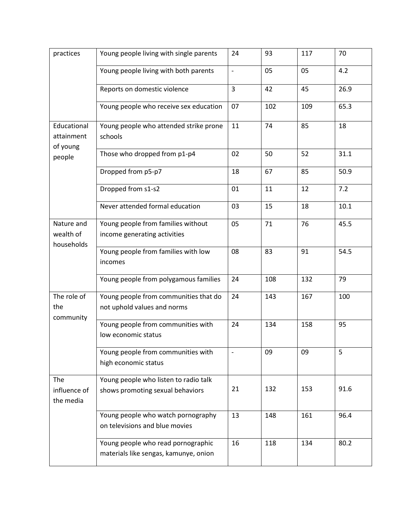| practices                                       | Young people living with single parents                                     | 24                       | 93  | 117 | 70   |
|-------------------------------------------------|-----------------------------------------------------------------------------|--------------------------|-----|-----|------|
|                                                 | Young people living with both parents                                       | $\blacksquare$           | 05  | 05  | 4.2  |
|                                                 | Reports on domestic violence                                                | 3                        | 42  | 45  | 26.9 |
|                                                 | Young people who receive sex education                                      | 07                       | 102 | 109 | 65.3 |
| Educational<br>attainment<br>of young<br>people | Young people who attended strike prone<br>schools                           | 11                       | 74  | 85  | 18   |
|                                                 | Those who dropped from p1-p4                                                | 02                       | 50  | 52  | 31.1 |
|                                                 | Dropped from p5-p7                                                          | 18                       | 67  | 85  | 50.9 |
|                                                 | Dropped from s1-s2                                                          | 01                       | 11  | 12  | 7.2  |
|                                                 | Never attended formal education                                             | 03                       | 15  | 18  | 10.1 |
| Nature and<br>wealth of<br>households           | Young people from families without<br>income generating activities          | 05                       | 71  | 76  | 45.5 |
|                                                 | Young people from families with low<br>incomes                              | 08                       | 83  | 91  | 54.5 |
|                                                 | Young people from polygamous families                                       | 24                       | 108 | 132 | 79   |
| The role of<br>the<br>community                 | Young people from communities that do<br>not uphold values and norms        | 24                       | 143 | 167 | 100  |
|                                                 | Young people from communities with<br>low economic status                   | 24                       | 134 | 158 | 95   |
|                                                 | Young people from communities with<br>high economic status                  | $\overline{\phantom{a}}$ | 09  | 09  | 5    |
| The<br>influence of<br>the media                | Young people who listen to radio talk<br>shows promoting sexual behaviors   | 21                       | 132 | 153 | 91.6 |
|                                                 | Young people who watch pornography<br>on televisions and blue movies        | 13                       | 148 | 161 | 96.4 |
|                                                 | Young people who read pornographic<br>materials like sengas, kamunye, onion | 16                       | 118 | 134 | 80.2 |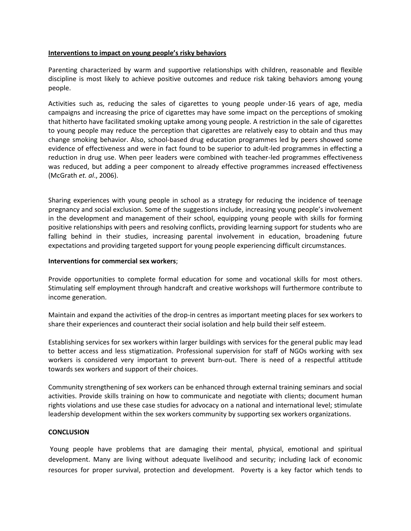## **Interventions to impact on young people's risky behaviors**

Parenting characterized by warm and supportive relationships with children, reasonable and flexible discipline is most likely to achieve positive outcomes and reduce risk taking behaviors among young people.

Activities such as, reducing the sales of cigarettes to young people under-16 years of age, media campaigns and increasing the price of cigarettes may have some impact on the perceptions of smoking that hitherto have facilitated smoking uptake among young people. A restriction in the sale of cigarettes to young people may reduce the perception that cigarettes are relatively easy to obtain and thus may change smoking behavior. Also, school-based drug education programmes led by peers showed some evidence of effectiveness and were in fact found to be superior to adult-led programmes in effecting a reduction in drug use. When peer leaders were combined with teacher-led programmes effectiveness was reduced, but adding a peer component to already effective programmes increased effectiveness (McGrath *et. al*., 2006).

Sharing experiences with young people in school as a strategy for reducing the incidence of teenage pregnancy and social exclusion. Some of the suggestions include, increasing young people's involvement in the development and management of their school, equipping young people with skills for forming positive relationships with peers and resolving conflicts, providing learning support for students who are falling behind in their studies, increasing parental involvement in education, broadening future expectations and providing targeted support for young people experiencing difficult circumstances.

### **Interventions for commercial sex workers**;

Provide opportunities to complete formal education for some and vocational skills for most others. Stimulating self employment through handcraft and creative workshops will furthermore contribute to income generation.

Maintain and expand the activities of the drop-in centres as important meeting places for sex workers to share their experiences and counteract their social isolation and help build their self esteem.

Establishing services for sex workers within larger buildings with services for the general public may lead to better access and less stigmatization. Professional supervision for staff of NGOs working with sex workers is considered very important to prevent burn-out. There is need of a respectful attitude towards sex workers and support of their choices.

Community strengthening of sex workers can be enhanced through external training seminars and social activities. Provide skills training on how to communicate and negotiate with clients; document human rights violations and use these case studies for advocacy on a national and international level; stimulate leadership development within the sex workers community by supporting sex workers organizations.

### **CONCLUSION**

Young people have problems that are damaging their mental, physical, emotional and spiritual development. Many are living without adequate livelihood and security; including lack of economic resources for proper survival, protection and development. Poverty is a key factor which tends to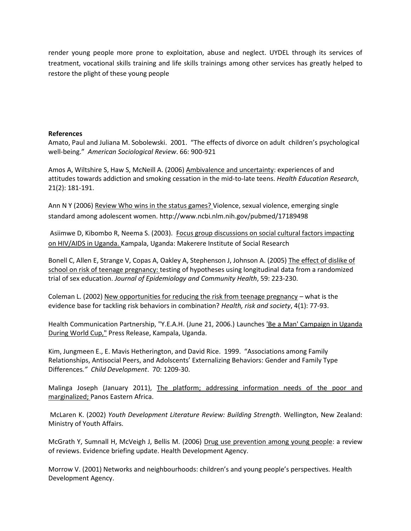render young people more prone to exploitation, abuse and neglect. UYDEL through its services of treatment, vocational skills training and life skills trainings among other services has greatly helped to restore the plight of these young people

# **References**

Amato, Paul and Juliana M. Sobolewski. 2001. "The effects of divorce on adult children's psychological well-being." *American Sociological Review*. 66: 900-921

Amos A, Wiltshire S, Haw S, McNeill A. (2006) Ambivalence and uncertainty: experiences of and attitudes towards addiction and smoking cessation in the mid-to-late teens. *Health Education Research*, 21(2): 181-191.

Ann N Y (2006) Review Who wins in the status games? Violence, sexual violence, emerging single [standard among adolescent women.](../AppData/Local/Temp/cty36nzy.tmp/Review%20Who%20wins%20in%20the%20status%20games?%20Violence,%20sexual%20violence,%20emerging%20single%20standard%20among%20adolescent%20women.) <http://www.ncbi.nlm.nih.gov/pubmed/17189498>

Asiimwe D, Kibombo R, Neema S. (2003). Focus group discussions on social cultural factors impacting on HIV/AIDS in Uganda. Kampala, Uganda: Makerere Institute of Social Research

Bonell C, Allen E, Strange V, Copas A, Oakley A, Stephenson J, Johnson A. (2005) The effect of dislike of school on risk of teenage pregnancy: testing of hypotheses using longitudinal data from a randomized trial of sex education. *Journal of Epidemiology and Community Health*, 59: 223-230.

Coleman L. (2002) New opportunities for reducing the risk from teenage pregnancy – what is the evidence base for tackling risk behaviors in combination? *Health, risk and society*, 4(1): 77-93.

Health Communication Partnership, "Y.E.A.H. (June 21, 2006.) Launches 'Be a Man' Campaign in Uganda During World Cup," Press Release, Kampala, Uganda.

Kim, Jungmeen E., E. Mavis Hetherington, and David Rice. 1999. "Associations among Family Relationships, Antisocial Peers, and Adolscents' Externalizing Behaviors: Gender and Family Type Differences*." Child Development*. 70: 1209-30.

Malinga Joseph (January 2011), The platform; addressing information needs of the poor and marginalized; Panos Eastern Africa.

McLaren K. (2002) *Youth Development Literature Review: Building Strength*. Wellington, New Zealand: Ministry of Youth Affairs.

McGrath Y, Sumnall H, McVeigh J, Bellis M. (2006) Drug use prevention among young people: a review of reviews. Evidence briefing update. Health Development Agency.

Morrow V. (2001) Networks and neighbourhoods: children's and young people's perspectives*.* Health Development Agency.